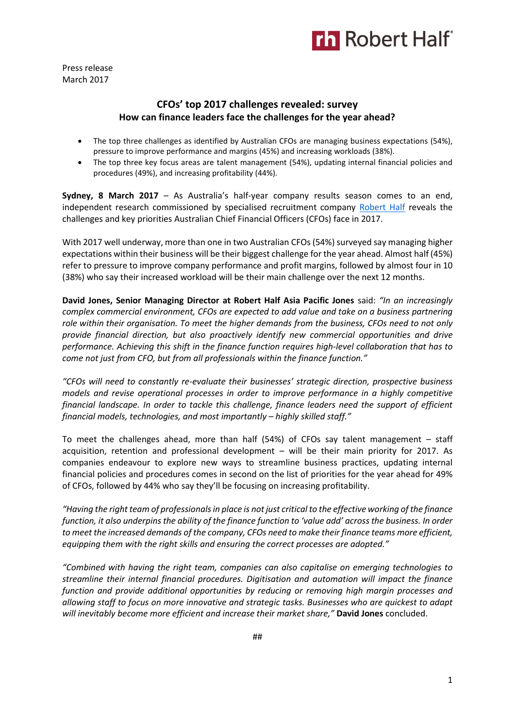

Press release March 2017

# **CFOs' top 2017 challenges revealed: survey How can finance leaders face the challenges for the year ahead?**

- The top three challenges as identified by Australian CFOs are managing business expectations (54%), pressure to improve performance and margins (45%) and increasing workloads (38%).
- The top three key focus areas are talent management (54%), updating internal financial policies and procedures (49%), and increasing profitability (44%).

**Sydney, 8 March 2017** – As Australia's half-year company results season comes to an end, independent research commissioned by specialised recruitment company [Robert Half](https://www.roberthalf.com.au/?utm_source=roberthalf&utm_medium=pressrelease&utm_campaign=rh-all-nonspecific-ongoing) reveals the challenges and key priorities Australian Chief Financial Officers (CFOs) face in 2017.

With 2017 well underway, more than one in two Australian CFOs (54%) surveyed say managing higher expectations within their business will be their biggest challenge for the year ahead. Almost half (45%) refer to pressure to improve company performance and profit margins, followed by almost four in 10 (38%) who say their increased workload will be their main challenge over the next 12 months.

**David Jones, Senior Managing Director at Robert Half Asia Pacific Jones** said: *"In an increasingly complex commercial environment, CFOs are expected to add value and take on a business partnering role within their organisation. To meet the higher demands from the business, CFOs need to not only provide financial direction, but also proactively identify new commercial opportunities and drive performance. Achieving this shift in the finance function requires high-level collaboration that has to come not just from CFO, but from all professionals within the finance function."*

*"CFOs will need to constantly re-evaluate their businesses' strategic direction, prospective business models and revise operational processes in order to improve performance in a highly competitive financial landscape. In order to tackle this challenge, finance leaders need the support of efficient financial models, technologies, and most importantly – highly skilled staff."*

To meet the challenges ahead, more than half (54%) of CFOs say talent management – staff acquisition, retention and professional development – will be their main priority for 2017. As companies endeavour to explore new ways to streamline business practices, updating internal financial policies and procedures comes in second on the list of priorities for the year ahead for 49% of CFOs, followed by 44% who say they'll be focusing on increasing profitability.

*"Having the right team of professionals in place is not just critical to the effective working of the finance function, it also underpins the ability of the finance function to 'value add' across the business. In order to meet the increased demands of the company, CFOs need to make their finance teams more efficient, equipping them with the right skills and ensuring the correct processes are adopted."*

*"Combined with having the right team, companies can also capitalise on emerging technologies to streamline their internal financial procedures. Digitisation and automation will impact the finance function and provide additional opportunities by reducing or removing high margin processes and allowing staff to focus on more innovative and strategic tasks. Businesses who are quickest to adapt will inevitably become more efficient and increase their market share,"* **David Jones** concluded.